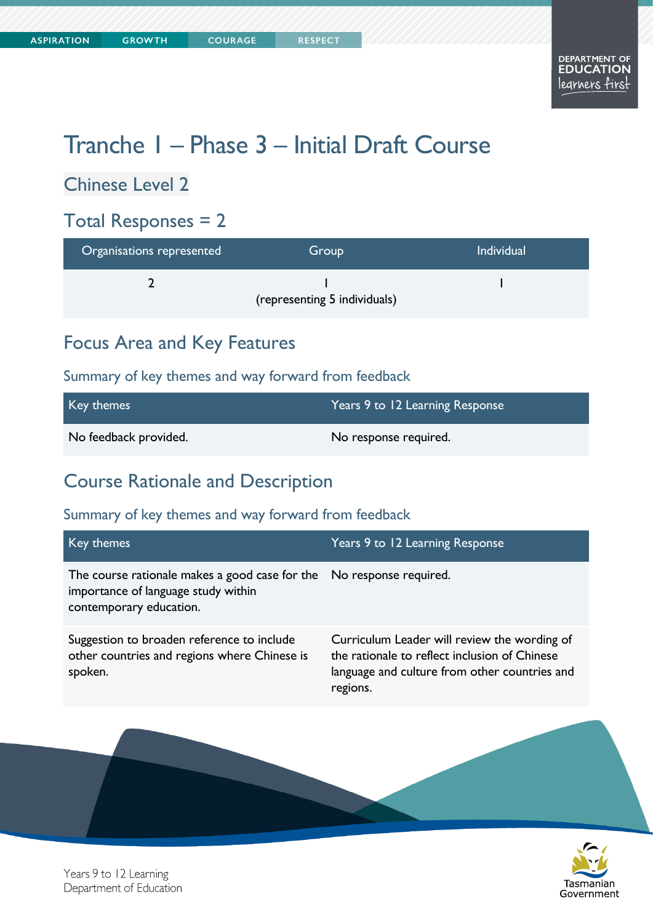# Tranche 1 – Phase 3 – Initial Draft Course

### Chinese Level 2

#### Total Responses = 2

| Organisations represented | Group                        | <b>Individual</b> |
|---------------------------|------------------------------|-------------------|
|                           | (representing 5 individuals) |                   |

### Focus Area and Key Features

#### Summary of key themes and way forward from feedback

| Key themes            | Years 9 to 12 Learning Response |
|-----------------------|---------------------------------|
| No feedback provided. | No response required.           |

#### Course Rationale and Description

#### Summary of key themes and way forward from feedback

| Key themes                                                                                                                             | Years 9 to 12 Learning Response                                                                                                                            |
|----------------------------------------------------------------------------------------------------------------------------------------|------------------------------------------------------------------------------------------------------------------------------------------------------------|
| The course rationale makes a good case for the No response required.<br>importance of language study within<br>contemporary education. |                                                                                                                                                            |
| Suggestion to broaden reference to include<br>other countries and regions where Chinese is<br>spoken.                                  | Curriculum Leader will review the wording of<br>the rationale to reflect inclusion of Chinese<br>language and culture from other countries and<br>regions. |



Years 9 to 12 Learning Department of Education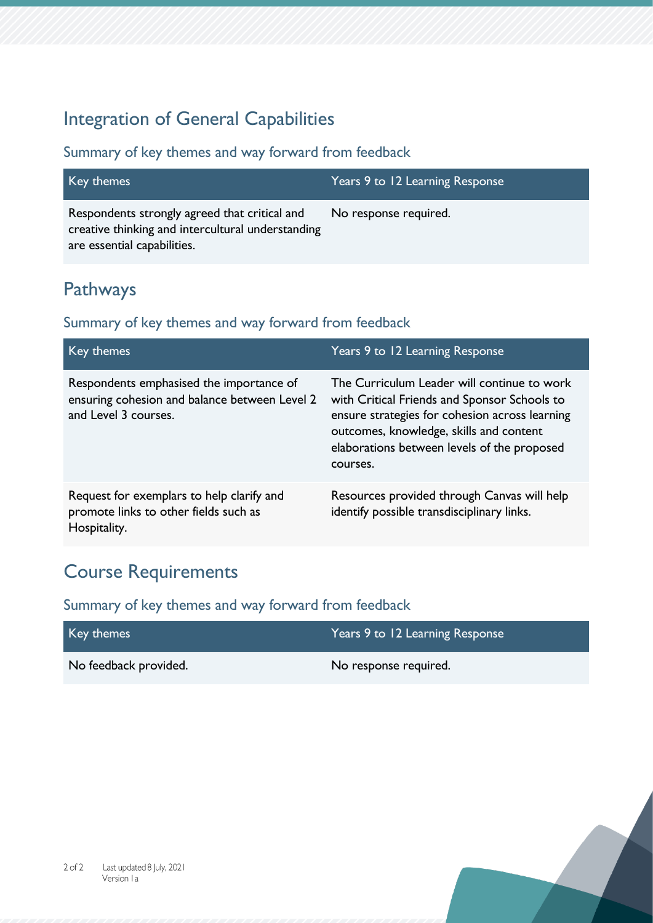## Integration of General Capabilities

#### Summary of key themes and way forward from feedback

| Key themes                                                                                                                        | Years 9 to 12 Learning Response |
|-----------------------------------------------------------------------------------------------------------------------------------|---------------------------------|
| Respondents strongly agreed that critical and<br>creative thinking and intercultural understanding<br>are essential capabilities. | No response required.           |

### Pathways

#### Summary of key themes and way forward from feedback

| Key themes                                                                                                        | Years 9 to 12 Learning Response                                                                                                                                                                                                                     |
|-------------------------------------------------------------------------------------------------------------------|-----------------------------------------------------------------------------------------------------------------------------------------------------------------------------------------------------------------------------------------------------|
| Respondents emphasised the importance of<br>ensuring cohesion and balance between Level 2<br>and Level 3 courses. | The Curriculum Leader will continue to work<br>with Critical Friends and Sponsor Schools to<br>ensure strategies for cohesion across learning<br>outcomes, knowledge, skills and content<br>elaborations between levels of the proposed<br>courses. |
| Request for exemplars to help clarify and<br>promote links to other fields such as<br>Hospitality.                | Resources provided through Canvas will help<br>identify possible transdisciplinary links.                                                                                                                                                           |

## Course Requirements

| Key themes            | Years 9 to 12 Learning Response |
|-----------------------|---------------------------------|
| No feedback provided. | No response required.           |

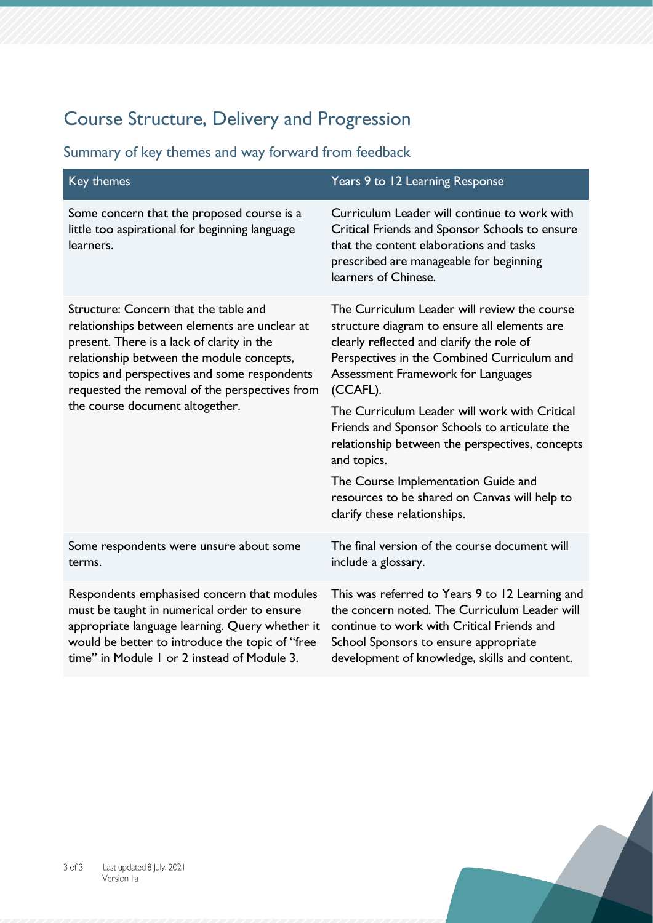## Course Structure, Delivery and Progression

| <b>Key themes</b>                                                                                                                                                                                                                                                                                                      | Years 9 to 12 Learning Response                                                                                                                                                                                                            |
|------------------------------------------------------------------------------------------------------------------------------------------------------------------------------------------------------------------------------------------------------------------------------------------------------------------------|--------------------------------------------------------------------------------------------------------------------------------------------------------------------------------------------------------------------------------------------|
| Some concern that the proposed course is a<br>little too aspirational for beginning language<br>learners.                                                                                                                                                                                                              | Curriculum Leader will continue to work with<br>Critical Friends and Sponsor Schools to ensure<br>that the content elaborations and tasks<br>prescribed are manageable for beginning<br>learners of Chinese.                               |
| Structure: Concern that the table and<br>relationships between elements are unclear at<br>present. There is a lack of clarity in the<br>relationship between the module concepts,<br>topics and perspectives and some respondents<br>requested the removal of the perspectives from<br>the course document altogether. | The Curriculum Leader will review the course<br>structure diagram to ensure all elements are<br>clearly reflected and clarify the role of<br>Perspectives in the Combined Curriculum and<br>Assessment Framework for Languages<br>(CCAFL). |
|                                                                                                                                                                                                                                                                                                                        | The Curriculum Leader will work with Critical<br>Friends and Sponsor Schools to articulate the<br>relationship between the perspectives, concepts<br>and topics.                                                                           |
|                                                                                                                                                                                                                                                                                                                        | The Course Implementation Guide and<br>resources to be shared on Canvas will help to<br>clarify these relationships.                                                                                                                       |
| Some respondents were unsure about some<br>terms.                                                                                                                                                                                                                                                                      | The final version of the course document will<br>include a glossary.                                                                                                                                                                       |
| Respondents emphasised concern that modules<br>must be taught in numerical order to ensure<br>appropriate language learning. Query whether it<br>would be better to introduce the topic of "free<br>time" in Module I or 2 instead of Module 3.                                                                        | This was referred to Years 9 to 12 Learning and<br>the concern noted. The Curriculum Leader will<br>continue to work with Critical Friends and<br>School Sponsors to ensure appropriate<br>development of knowledge, skills and content.   |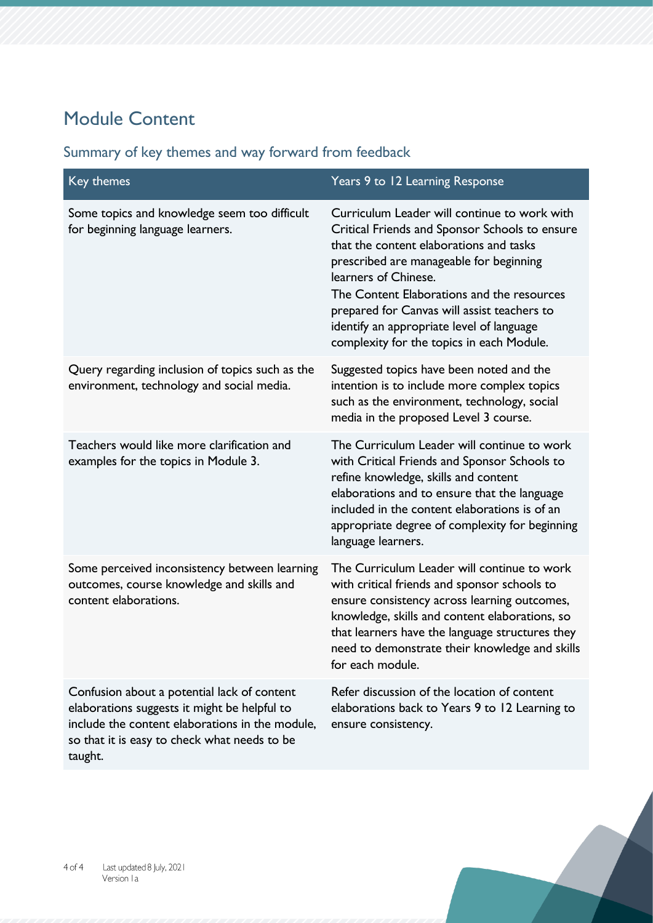## Module Content

#### Key themes Themes Themes Themes Themes Themes Themes Themes Themes Themes Themes Themes Themes Themes Themes T Some topics and knowledge seem too difficult for beginning language learners. Curriculum Leader will continue to work with Critical Friends and Sponsor Schools to ensure that the content elaborations and tasks prescribed are manageable for beginning learners of Chinese. The Content Elaborations and the resources prepared for Canvas will assist teachers to identify an appropriate level of language complexity for the topics in each Module. Query regarding inclusion of topics such as the environment, technology and social media. Suggested topics have been noted and the intention is to include more complex topics such as the environment, technology, social media in the proposed Level 3 course. Teachers would like more clarification and examples for the topics in Module 3. The Curriculum Leader will continue to work with Critical Friends and Sponsor Schools to refine knowledge, skills and content elaborations and to ensure that the language included in the content elaborations is of an appropriate degree of complexity for beginning language learners. Some perceived inconsistency between learning outcomes, course knowledge and skills and content elaborations. The Curriculum Leader will continue to work with critical friends and sponsor schools to ensure consistency across learning outcomes, knowledge, skills and content elaborations, so that learners have the language structures they need to demonstrate their knowledge and skills for each module. Confusion about a potential lack of content elaborations suggests it might be helpful to include the content elaborations in the module, so that it is easy to check what needs to be Refer discussion of the location of content elaborations back to Years 9 to 12 Learning to ensure consistency.

#### Summary of key themes and way forward from feedback

taught.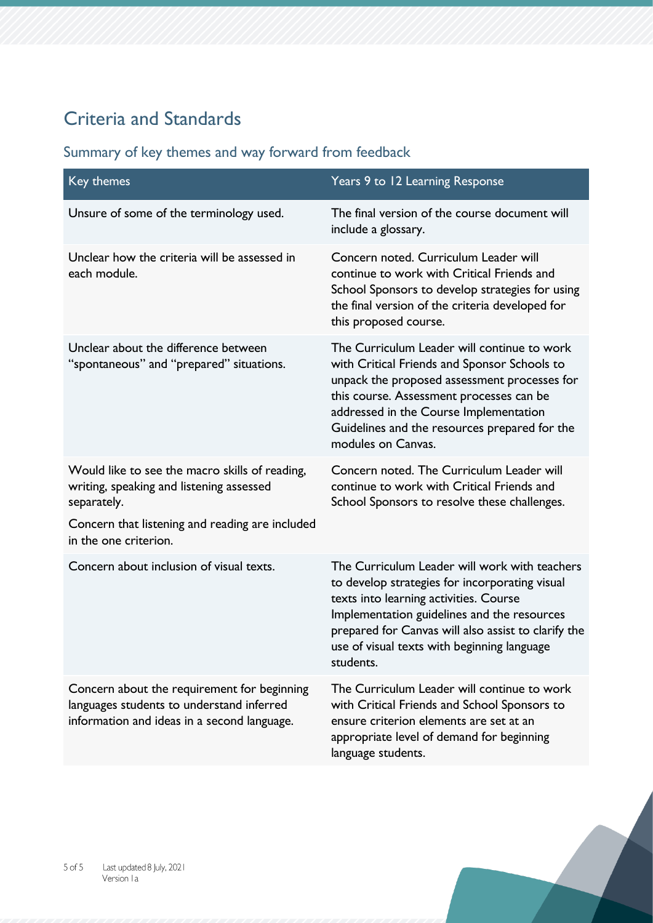## Criteria and Standards

| Key themes                                                                                                                              | Years 9 to 12 Learning Response                                                                                                                                                                                                                                                                             |
|-----------------------------------------------------------------------------------------------------------------------------------------|-------------------------------------------------------------------------------------------------------------------------------------------------------------------------------------------------------------------------------------------------------------------------------------------------------------|
| Unsure of some of the terminology used.                                                                                                 | The final version of the course document will<br>include a glossary.                                                                                                                                                                                                                                        |
| Unclear how the criteria will be assessed in<br>each module.                                                                            | Concern noted. Curriculum Leader will<br>continue to work with Critical Friends and<br>School Sponsors to develop strategies for using<br>the final version of the criteria developed for<br>this proposed course.                                                                                          |
| Unclear about the difference between<br>"spontaneous" and "prepared" situations.                                                        | The Curriculum Leader will continue to work<br>with Critical Friends and Sponsor Schools to<br>unpack the proposed assessment processes for<br>this course. Assessment processes can be<br>addressed in the Course Implementation<br>Guidelines and the resources prepared for the<br>modules on Canvas.    |
| Would like to see the macro skills of reading,<br>writing, speaking and listening assessed<br>separately.                               | Concern noted. The Curriculum Leader will<br>continue to work with Critical Friends and<br>School Sponsors to resolve these challenges.                                                                                                                                                                     |
| Concern that listening and reading are included<br>in the one criterion.                                                                |                                                                                                                                                                                                                                                                                                             |
| Concern about inclusion of visual texts.                                                                                                | The Curriculum Leader will work with teachers<br>to develop strategies for incorporating visual<br>texts into learning activities. Course<br>Implementation guidelines and the resources<br>prepared for Canvas will also assist to clarify the<br>use of visual texts with beginning language<br>students. |
| Concern about the requirement for beginning<br>languages students to understand inferred<br>information and ideas in a second language. | The Curriculum Leader will continue to work<br>with Critical Friends and School Sponsors to<br>ensure criterion elements are set at an<br>appropriate level of demand for beginning<br>language students.                                                                                                   |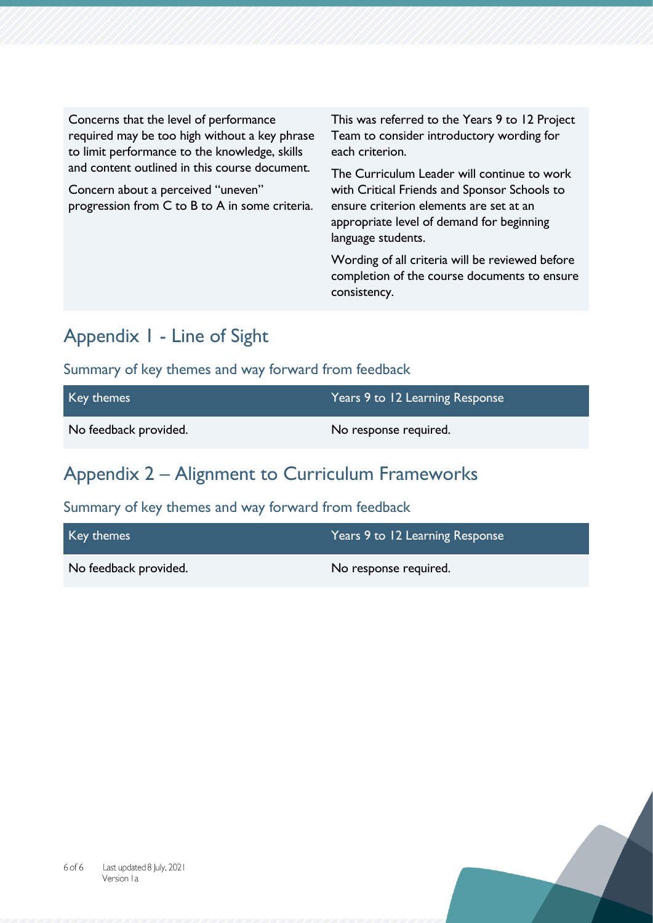Concerns that the level of performance required may be too high without a key phrase to limit performance to the knowledge, skills and content outlined in this course document.

Concern about a perceived "uneven" progression from C to B to A in some criteria. This was referred to the Years 9 to 12 Project Team to consider introductory wording for each criterion.

The Curriculum Leader will continue to work with Critical Friends and Sponsor Schools to ensure criterion elements are set at an appropriate level of demand for beginning language students.

Wording of all criteria will be reviewed before completion of the course documents to ensure consistency.

#### Appendix 1 - Line of Sight

Summary of key themes and way forward from feedback

| Key themes            | Years 9 to 12 Learning Response |
|-----------------------|---------------------------------|
| No feedback provided. | No response required.           |

## Appendix 2 – Alignment to Curriculum Frameworks

| Key themes            | Years 9 to 12 Learning Response |
|-----------------------|---------------------------------|
| No feedback provided. | No response required.           |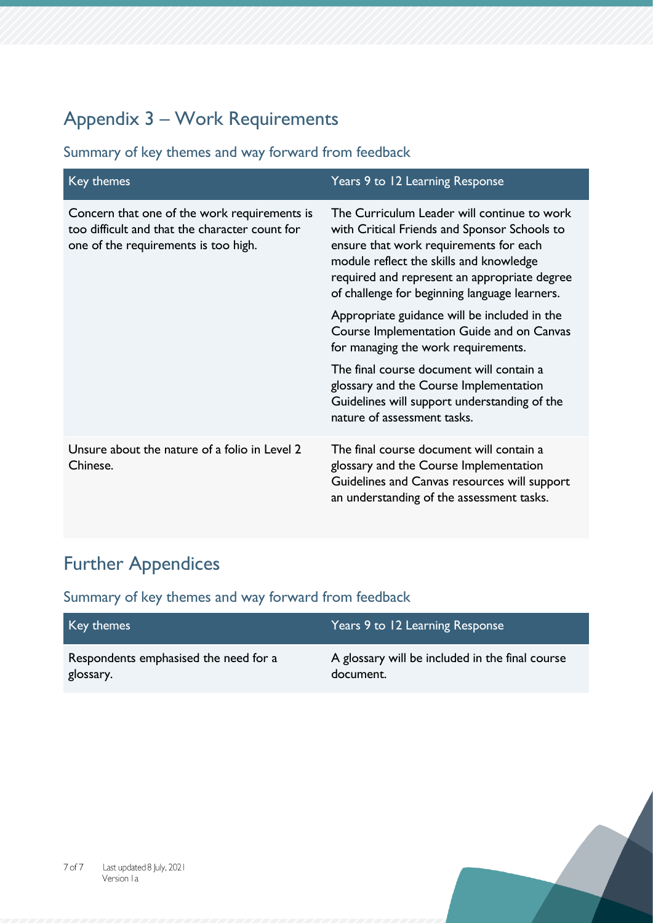## Appendix 3 – Work Requirements

Summary of key themes and way forward from feedback

| Key themes                                                                                                                             | Years 9 to 12 Learning Response                                                                                                                                                                                                                                                   |
|----------------------------------------------------------------------------------------------------------------------------------------|-----------------------------------------------------------------------------------------------------------------------------------------------------------------------------------------------------------------------------------------------------------------------------------|
| Concern that one of the work requirements is<br>too difficult and that the character count for<br>one of the requirements is too high. | The Curriculum Leader will continue to work<br>with Critical Friends and Sponsor Schools to<br>ensure that work requirements for each<br>module reflect the skills and knowledge<br>required and represent an appropriate degree<br>of challenge for beginning language learners. |
|                                                                                                                                        | Appropriate guidance will be included in the<br>Course Implementation Guide and on Canvas<br>for managing the work requirements.                                                                                                                                                  |
|                                                                                                                                        | The final course document will contain a<br>glossary and the Course Implementation<br>Guidelines will support understanding of the<br>nature of assessment tasks.                                                                                                                 |
| Unsure about the nature of a folio in Level 2<br>Chinese.                                                                              | The final course document will contain a<br>glossary and the Course Implementation<br>Guidelines and Canvas resources will support<br>an understanding of the assessment tasks.                                                                                                   |

## Further Appendices

| Key themes                            | Years 9 to 12 Learning Response                 |
|---------------------------------------|-------------------------------------------------|
| Respondents emphasised the need for a | A glossary will be included in the final course |
| glossary.                             | document.                                       |